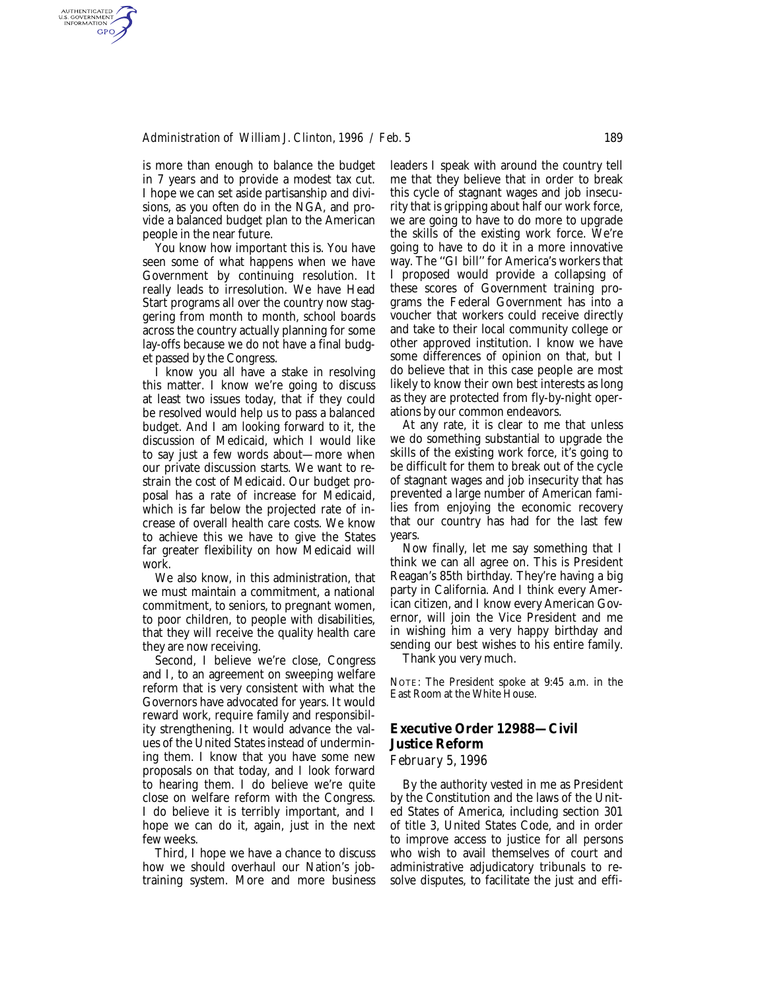### *Administration of William J. Clinton, 1996 / Feb. 5* 189

is more than enough to balance the budget in 7 years and to provide a modest tax cut. I hope we can set aside partisanship and divisions, as you often do in the NGA, and provide a balanced budget plan to the American people in the near future.

AUTHENTICATED<br>U.S. GOVERNMENT<br>INFORMATION **GPO** 

> You know how important this is. You have seen some of what happens when we have Government by continuing resolution. It really leads to irresolution. We have Head Start programs all over the country now staggering from month to month, school boards across the country actually planning for some lay-offs because we do not have a final budget passed by the Congress.

> I know you all have a stake in resolving this matter. I know we're going to discuss at least two issues today, that if they could be resolved would help us to pass a balanced budget. And I am looking forward to it, the discussion of Medicaid, which I would like to say just a few words about—more when our private discussion starts. We want to restrain the cost of Medicaid. Our budget proposal has a rate of increase for Medicaid, which is far below the projected rate of increase of overall health care costs. We know to achieve this we have to give the States far greater flexibility on how Medicaid will work.

> We also know, in this administration, that we must maintain a commitment, a national commitment, to seniors, to pregnant women, to poor children, to people with disabilities, that they will receive the quality health care they are now receiving.

> Second, I believe we're close, Congress and I, to an agreement on sweeping welfare reform that is very consistent with what the Governors have advocated for years. It would reward work, require family and responsibility strengthening. It would advance the values of the United States instead of undermining them. I know that you have some new proposals on that today, and I look forward to hearing them. I do believe we're quite close on welfare reform with the Congress. I do believe it is terribly important, and I hope we can do it, again, just in the next few weeks.

> Third, I hope we have a chance to discuss how we should overhaul our Nation's jobtraining system. More and more business

leaders I speak with around the country tell me that they believe that in order to break this cycle of stagnant wages and job insecurity that is gripping about half our work force, we are going to have to do more to upgrade the skills of the existing work force. We're going to have to do it in a more innovative way. The ''GI bill'' for America's workers that I proposed would provide a collapsing of these scores of Government training programs the Federal Government has into a voucher that workers could receive directly and take to their local community college or other approved institution. I know we have some differences of opinion on that, but I do believe that in this case people are most likely to know their own best interests as long as they are protected from fly-by-night operations by our common endeavors.

At any rate, it is clear to me that unless we do something substantial to upgrade the skills of the existing work force, it's going to be difficult for them to break out of the cycle of stagnant wages and job insecurity that has prevented a large number of American families from enjoying the economic recovery that our country has had for the last few years.

Now finally, let me say something that I think we can all agree on. This is President Reagan's 85th birthday. They're having a big party in California. And I think every American citizen, and I know every American Governor, will join the Vice President and me in wishing him a very happy birthday and sending our best wishes to his entire family.

Thank you very much.

NOTE: The President spoke at 9:45 a.m. in the East Room at the White House.

# **Executive Order 12988—Civil Justice Reform**

*February 5, 1996*

By the authority vested in me as President by the Constitution and the laws of the United States of America, including section 301 of title 3, United States Code, and in order to improve access to justice for all persons who wish to avail themselves of court and administrative adjudicatory tribunals to resolve disputes, to facilitate the just and effi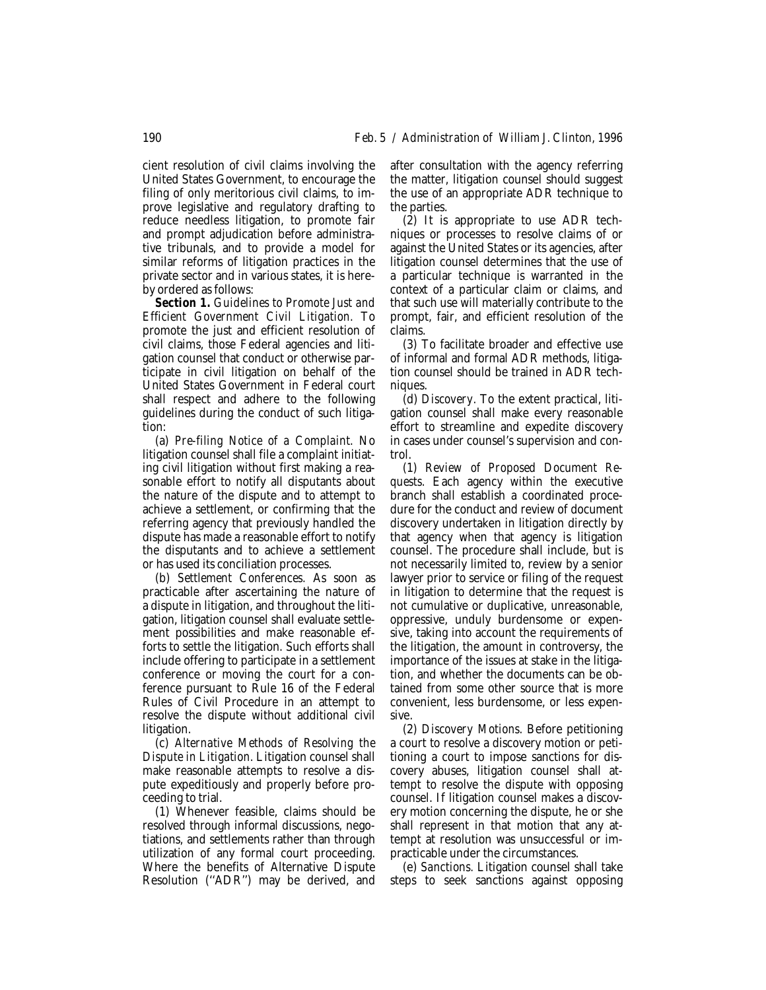cient resolution of civil claims involving the United States Government, to encourage the filing of only meritorious civil claims, to improve legislative and regulatory drafting to reduce needless litigation, to promote fair and prompt adjudication before administrative tribunals, and to provide a model for similar reforms of litigation practices in the private sector and in various states, it is hereby ordered as follows:

*Section 1. Guidelines to Promote Just and Efficient Government Civil Litigation.* To promote the just and efficient resolution of civil claims, those Federal agencies and litigation counsel that conduct or otherwise participate in civil litigation on behalf of the United States Government in Federal court shall respect and adhere to the following guidelines during the conduct of such litigation:

(a) *Pre-filing Notice of a Complaint.* No litigation counsel shall file a complaint initiating civil litigation without first making a reasonable effort to notify all disputants about the nature of the dispute and to attempt to achieve a settlement, or confirming that the referring agency that previously handled the dispute has made a reasonable effort to notify the disputants and to achieve a settlement or has used its conciliation processes.

(b) *Settlement Conferences.* As soon as practicable after ascertaining the nature of a dispute in litigation, and throughout the litigation, litigation counsel shall evaluate settlement possibilities and make reasonable efforts to settle the litigation. Such efforts shall include offering to participate in a settlement conference or moving the court for a conference pursuant to Rule 16 of the Federal Rules of Civil Procedure in an attempt to resolve the dispute without additional civil litigation.

(c) *Alternative Methods of Resolving the Dispute in Litigation.* Litigation counsel shall make reasonable attempts to resolve a dispute expeditiously and properly before proceeding to trial.

(1) Whenever feasible, claims should be resolved through informal discussions, negotiations, and settlements rather than through utilization of any formal court proceeding. Where the benefits of Alternative Dispute Resolution (''ADR'') may be derived, and

after consultation with the agency referring the matter, litigation counsel should suggest the use of an appropriate ADR technique to the parties.

(2) It is appropriate to use ADR techniques or processes to resolve claims of or against the United States or its agencies, after litigation counsel determines that the use of a particular technique is warranted in the context of a particular claim or claims, and that such use will materially contribute to the prompt, fair, and efficient resolution of the claims.

(3) To facilitate broader and effective use of informal and formal ADR methods, litigation counsel should be trained in ADR techniques.

(d) *Discovery.* To the extent practical, litigation counsel shall make every reasonable effort to streamline and expedite discovery in cases under counsel's supervision and control.

(1) *Review of Proposed Document Requests.* Each agency within the executive branch shall establish a coordinated procedure for the conduct and review of document discovery undertaken in litigation directly by that agency when that agency is litigation counsel. The procedure shall include, but is not necessarily limited to, review by a senior lawyer prior to service or filing of the request in litigation to determine that the request is not cumulative or duplicative, unreasonable, oppressive, unduly burdensome or expensive, taking into account the requirements of the litigation, the amount in controversy, the importance of the issues at stake in the litigation, and whether the documents can be obtained from some other source that is more convenient, less burdensome, or less expensive.

(2) *Discovery Motions.* Before petitioning a court to resolve a discovery motion or petitioning a court to impose sanctions for discovery abuses, litigation counsel shall attempt to resolve the dispute with opposing counsel. If litigation counsel makes a discovery motion concerning the dispute, he or she shall represent in that motion that any attempt at resolution was unsuccessful or impracticable under the circumstances.

(e) *Sanctions.* Litigation counsel shall take steps to seek sanctions against opposing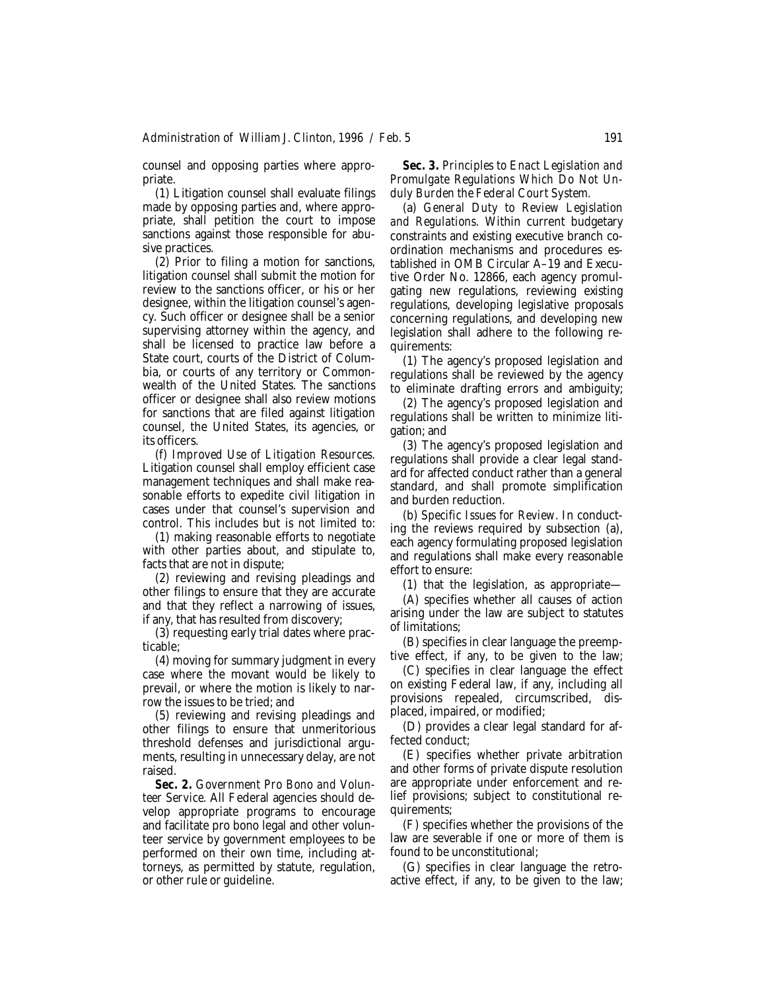counsel and opposing parties where appropriate.

(1) Litigation counsel shall evaluate filings made by opposing parties and, where appropriate, shall petition the court to impose sanctions against those responsible for abusive practices.

(2) Prior to filing a motion for sanctions, litigation counsel shall submit the motion for review to the sanctions officer, or his or her designee, within the litigation counsel's agency. Such officer or designee shall be a senior supervising attorney within the agency, and shall be licensed to practice law before a State court, courts of the District of Columbia, or courts of any territory or Commonwealth of the United States. The sanctions officer or designee shall also review motions for sanctions that are filed against litigation counsel, the United States, its agencies, or its officers.

(f) *Improved Use of Litigation Resources.* Litigation counsel shall employ efficient case management techniques and shall make reasonable efforts to expedite civil litigation in cases under that counsel's supervision and control. This includes but is not limited to:

(1) making reasonable efforts to negotiate with other parties about, and stipulate to, facts that are not in dispute;

(2) reviewing and revising pleadings and other filings to ensure that they are accurate and that they reflect a narrowing of issues, if any, that has resulted from discovery;

(3) requesting early trial dates where practicable;

(4) moving for summary judgment in every case where the movant would be likely to prevail, or where the motion is likely to narrow the issues to be tried; and

(5) reviewing and revising pleadings and other filings to ensure that unmeritorious threshold defenses and jurisdictional arguments, resulting in unnecessary delay, are not raised.

*Sec. 2. Government Pro Bono and Volunteer Service.* All Federal agencies should develop appropriate programs to encourage and facilitate pro bono legal and other volunteer service by government employees to be performed on their own time, including attorneys, as permitted by statute, regulation, or other rule or guideline.

*Sec. 3. Principles to Enact Legislation and Promulgate Regulations Which Do Not Unduly Burden the Federal Court System.*

(a) *General Duty to Review Legislation and Regulations.* Within current budgetary constraints and existing executive branch coordination mechanisms and procedures established in OMB Circular A–19 and Executive Order No. 12866, each agency promulgating new regulations, reviewing existing regulations, developing legislative proposals concerning regulations, and developing new legislation shall adhere to the following requirements:

(1) The agency's proposed legislation and regulations shall be reviewed by the agency to eliminate drafting errors and ambiguity;

(2) The agency's proposed legislation and regulations shall be written to minimize litigation; and

(3) The agency's proposed legislation and regulations shall provide a clear legal standard for affected conduct rather than a general standard, and shall promote simplification and burden reduction.

(b) *Specific Issues for Review.* In conducting the reviews required by subsection (a), each agency formulating proposed legislation and regulations shall make every reasonable effort to ensure:

(1) that the legislation, as appropriate—

(A) specifies whether all causes of action arising under the law are subject to statutes of limitations;

(B) specifies in clear language the preemptive effect, if any, to be given to the law;

(C) specifies in clear language the effect on existing Federal law, if any, including all provisions repealed, circumscribed, displaced, impaired, or modified;

(D) provides a clear legal standard for affected conduct;

(E) specifies whether private arbitration and other forms of private dispute resolution are appropriate under enforcement and relief provisions; subject to constitutional requirements;

(F) specifies whether the provisions of the law are severable if one or more of them is found to be unconstitutional;

(G) specifies in clear language the retroactive effect, if any, to be given to the law;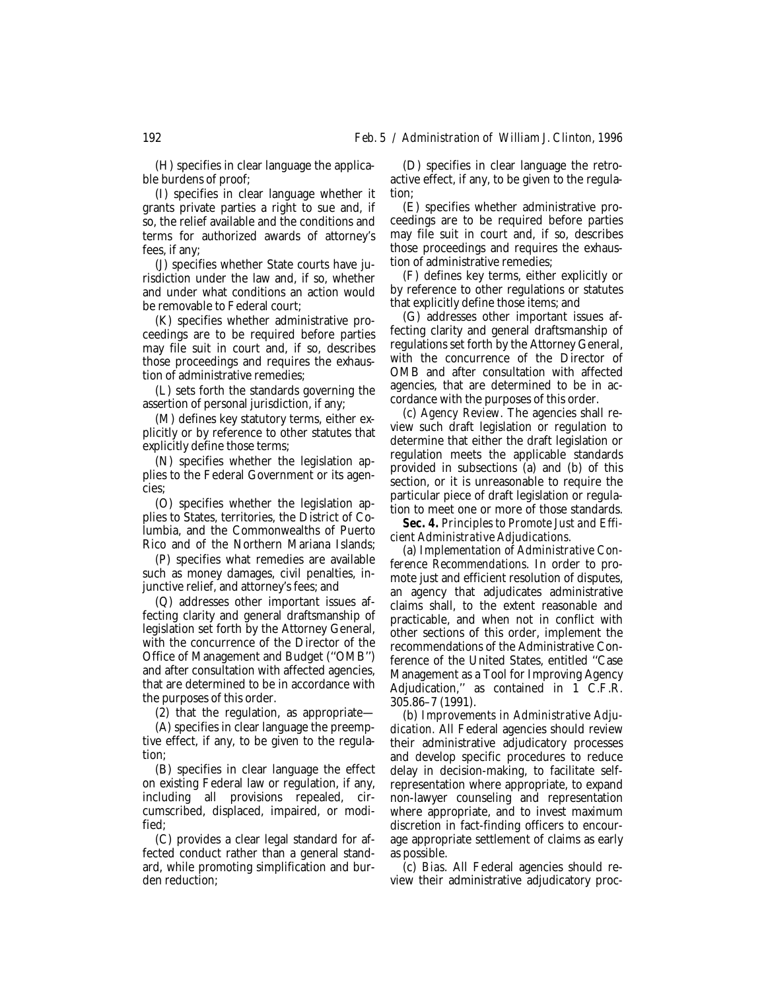(H) specifies in clear language the applicable burdens of proof;

(I) specifies in clear language whether it grants private parties a right to sue and, if so, the relief available and the conditions and terms for authorized awards of attorney's fees, if any;

(J) specifies whether State courts have jurisdiction under the law and, if so, whether and under what conditions an action would be removable to Federal court;

(K) specifies whether administrative proceedings are to be required before parties may file suit in court and, if so, describes those proceedings and requires the exhaustion of administrative remedies;

(L) sets forth the standards governing the assertion of personal jurisdiction, if any;

(M) defines key statutory terms, either explicitly or by reference to other statutes that explicitly define those terms;

(N) specifies whether the legislation applies to the Federal Government or its agencies;

(O) specifies whether the legislation applies to States, territories, the District of Columbia, and the Commonwealths of Puerto Rico and of the Northern Mariana Islands;

(P) specifies what remedies are available such as money damages, civil penalties, injunctive relief, and attorney's fees; and

(Q) addresses other important issues affecting clarity and general draftsmanship of legislation set forth by the Attorney General, with the concurrence of the Director of the Office of Management and Budget (''OMB'') and after consultation with affected agencies, that are determined to be in accordance with the purposes of this order.

(2) that the regulation, as appropriate—

(A) specifies in clear language the preemptive effect, if any, to be given to the regulation;

(B) specifies in clear language the effect on existing Federal law or regulation, if any, including all provisions repealed, circumscribed, displaced, impaired, or modified;

(C) provides a clear legal standard for affected conduct rather than a general standard, while promoting simplification and burden reduction;

(D) specifies in clear language the retroactive effect, if any, to be given to the regulation;

(E) specifies whether administrative proceedings are to be required before parties may file suit in court and, if so, describes those proceedings and requires the exhaustion of administrative remedies;

(F) defines key terms, either explicitly or by reference to other regulations or statutes that explicitly define those items; and

(G) addresses other important issues affecting clarity and general draftsmanship of regulations set forth by the Attorney General, with the concurrence of the Director of OMB and after consultation with affected agencies, that are determined to be in accordance with the purposes of this order.

(c) *Agency Review.* The agencies shall review such draft legislation or regulation to determine that either the draft legislation or regulation meets the applicable standards provided in subsections (a) and (b) of this section, or it is unreasonable to require the particular piece of draft legislation or regulation to meet one or more of those standards.

*Sec. 4. Principles to Promote Just and Efficient Administrative Adjudications.*

(a) *Implementation of Administrative Conference Recommendations.* In order to promote just and efficient resolution of disputes, an agency that adjudicates administrative claims shall, to the extent reasonable and practicable, and when not in conflict with other sections of this order, implement the recommendations of the Administrative Conference of the United States, entitled ''Case Management as a Tool for Improving Agency Adjudication,'' as contained in 1 C.F.R. 305.86–7 (1991).

(b) *Improvements in Administrative Adjudication.* All Federal agencies should review their administrative adjudicatory processes and develop specific procedures to reduce delay in decision-making, to facilitate selfrepresentation where appropriate, to expand non-lawyer counseling and representation where appropriate, and to invest maximum discretion in fact-finding officers to encourage appropriate settlement of claims as early as possible.

(c) *Bias.* All Federal agencies should review their administrative adjudicatory proc-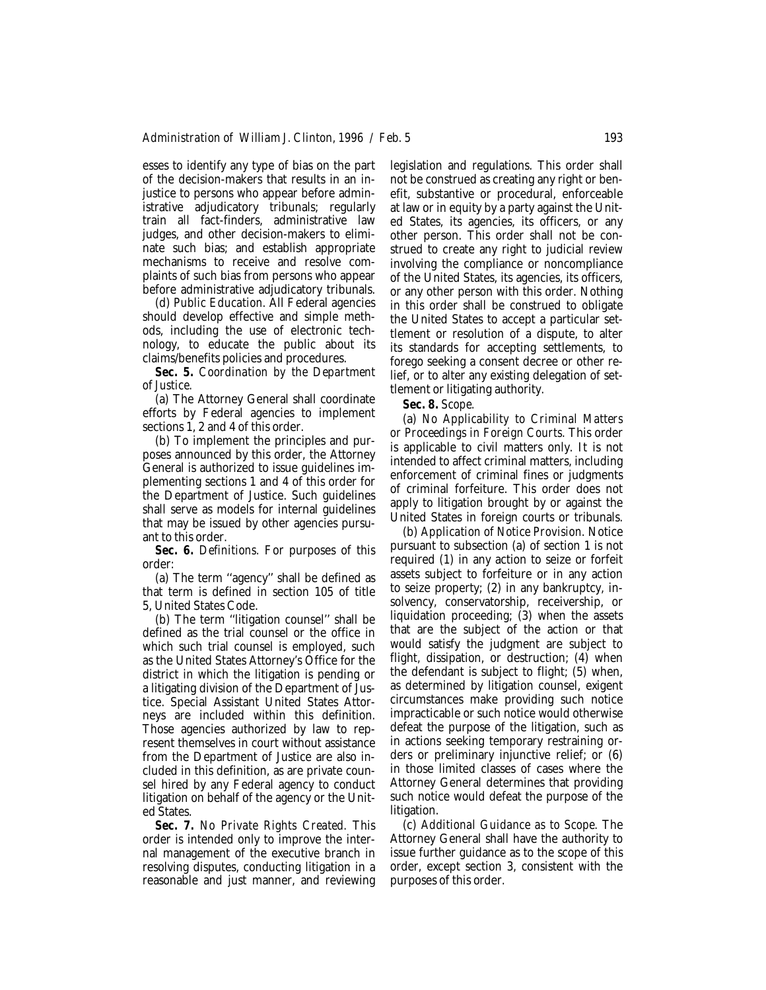esses to identify any type of bias on the part of the decision-makers that results in an injustice to persons who appear before administrative adjudicatory tribunals; regularly train all fact-finders, administrative law judges, and other decision-makers to eliminate such bias; and establish appropriate mechanisms to receive and resolve complaints of such bias from persons who appear before administrative adjudicatory tribunals.

(d) *Public Education.* All Federal agencies should develop effective and simple methods, including the use of electronic technology, to educate the public about its claims/benefits policies and procedures.

*Sec. 5. Coordination by the Department of Justice.*

(a) The Attorney General shall coordinate efforts by Federal agencies to implement sections 1, 2 and 4 of this order.

(b) To implement the principles and purposes announced by this order, the Attorney General is authorized to issue guidelines implementing sections 1 and 4 of this order for the Department of Justice. Such guidelines shall serve as models for internal guidelines that may be issued by other agencies pursuant to this order.

*Sec. 6. Definitions.* For purposes of this order:

(a) The term ''agency'' shall be defined as that term is defined in section 105 of title 5, United States Code.

(b) The term ''litigation counsel'' shall be defined as the trial counsel or the office in which such trial counsel is employed, such as the United States Attorney's Office for the district in which the litigation is pending or a litigating division of the Department of Justice. Special Assistant United States Attorneys are included within this definition. Those agencies authorized by law to represent themselves in court without assistance from the Department of Justice are also included in this definition, as are private counsel hired by any Federal agency to conduct litigation on behalf of the agency or the United States.

*Sec. 7. No Private Rights Created.* This order is intended only to improve the internal management of the executive branch in resolving disputes, conducting litigation in a reasonable and just manner, and reviewing legislation and regulations. This order shall not be construed as creating any right or benefit, substantive or procedural, enforceable at law or in equity by a party against the United States, its agencies, its officers, or any other person. This order shall not be construed to create any right to judicial review involving the compliance or noncompliance of the United States, its agencies, its officers, or any other person with this order. Nothing in this order shall be construed to obligate the United States to accept a particular settlement or resolution of a dispute, to alter its standards for accepting settlements, to forego seeking a consent decree or other relief, or to alter any existing delegation of settlement or litigating authority.

*Sec. 8. Scope.*

(a) *No Applicability to Criminal Matters or Proceedings in Foreign Courts.* This order is applicable to civil matters only. It is not intended to affect criminal matters, including enforcement of criminal fines or judgments of criminal forfeiture. This order does not apply to litigation brought by or against the United States in foreign courts or tribunals.

(b) *Application of Notice Provision.* Notice pursuant to subsection (a) of section 1 is not required (1) in any action to seize or forfeit assets subject to forfeiture or in any action to seize property; (2) in any bankruptcy, insolvency, conservatorship, receivership, or liquidation proceeding; (3) when the assets that are the subject of the action or that would satisfy the judgment are subject to flight, dissipation, or destruction; (4) when the defendant is subject to flight; (5) when, as determined by litigation counsel, exigent circumstances make providing such notice impracticable or such notice would otherwise defeat the purpose of the litigation, such as in actions seeking temporary restraining orders or preliminary injunctive relief; or (6) in those limited classes of cases where the Attorney General determines that providing such notice would defeat the purpose of the litigation.

(c) *Additional Guidance as to Scope.* The Attorney General shall have the authority to issue further guidance as to the scope of this order, except section 3, consistent with the purposes of this order.